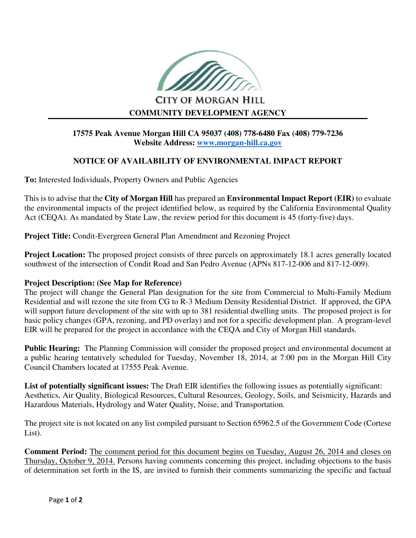

**CITY OF MORGAN HILL COMMUNITY DEVELOPMENT AGENCY** 

## **17575 Peak Avenue Morgan Hill CA 95037 (408) 778-6480 Fax (408) 779-7236 Website Address: www.morgan-hill.ca.gov**

## **NOTICE OF AVAILABILITY OF ENVIRONMENTAL IMPACT REPORT**

**To:** Interested Individuals, Property Owners and Public Agencies

This is to advise that the **City of Morgan Hill** has prepared an **Environmental Impact Report (EIR)** to evaluate the environmental impacts of the project identified below, as required by the California Environmental Quality Act (CEQA). As mandated by State Law, the review period for this document is 45 (forty-five) days.

**Project Title:** Condit-Evergreen General Plan Amendment and Rezoning Project

**Project Location:** The proposed project consists of three parcels on approximately 18.1 acres generally located southwest of the intersection of Condit Road and San Pedro Avenue (APNs 817-12-006 and 817-12-009).

## **Project Description: (See Map for Reference)**

The project will change the General Plan designation for the site from Commercial to Multi-Family Medium Residential and will rezone the site from CG to R-3 Medium Density Residential District. If approved, the GPA will support future development of the site with up to 381 residential dwelling units. The proposed project is for basic policy changes (GPA, rezoning, and PD overlay) and not for a specific development plan. A program-level EIR will be prepared for the project in accordance with the CEQA and City of Morgan Hill standards.

**Public Hearing:** The Planning Commission will consider the proposed project and environmental document at a public hearing tentatively scheduled for Tuesday, November 18, 2014, at 7:00 pm in the Morgan Hill City Council Chambers located at 17555 Peak Avenue.

**List of potentially significant issues:** The Draft EIR identifies the following issues as potentially significant: Aesthetics, Air Quality, Biological Resources, Cultural Resources, Geology, Soils, and Seismicity, Hazards and Hazardous Materials, Hydrology and Water Quality, Noise, and Transportation.

The project site is not located on any list compiled pursuant to Section 65962.5 of the Government Code (Cortese List).

**Comment Period:** The comment period for this document begins on Tuesday, August 26, 2014 and closes on Thursday, October 9, 2014. Persons having comments concerning this project, including objections to the basis of determination set forth in the IS, are invited to furnish their comments summarizing the specific and factual